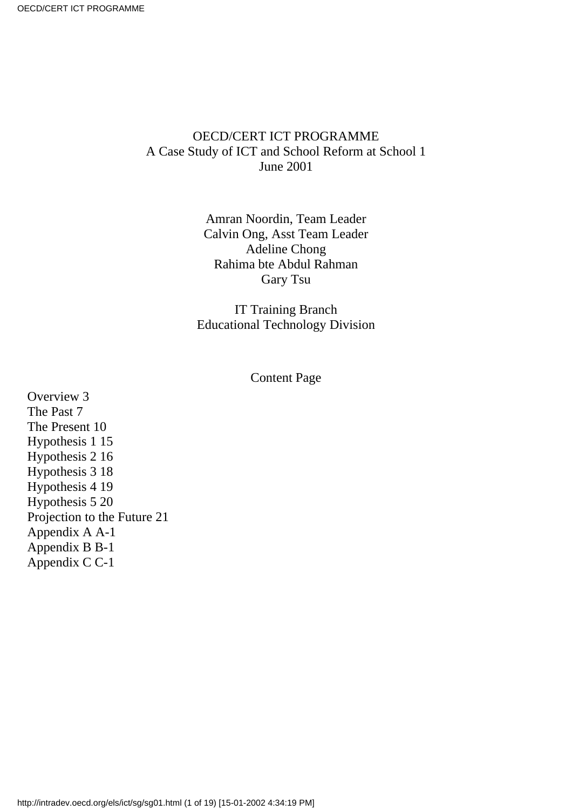### OECD/CERT ICT PROGRAMME A Case Study of ICT and School Reform at School 1 June 2001

Amran Noordin, Team Leader Calvin Ong, Asst Team Leader Adeline Chong Rahima bte Abdul Rahman Gary Tsu

IT Training Branch Educational Technology Division

Content Page

Overview 3 The Past 7 The Present 10 Hypothesis 1 15 Hypothesis 2 16 Hypothesis 3 18 Hypothesis 4 19 Hypothesis 5 20 Projection to the Future 21 Appendix A A-1 Appendix B B-1 Appendix C C-1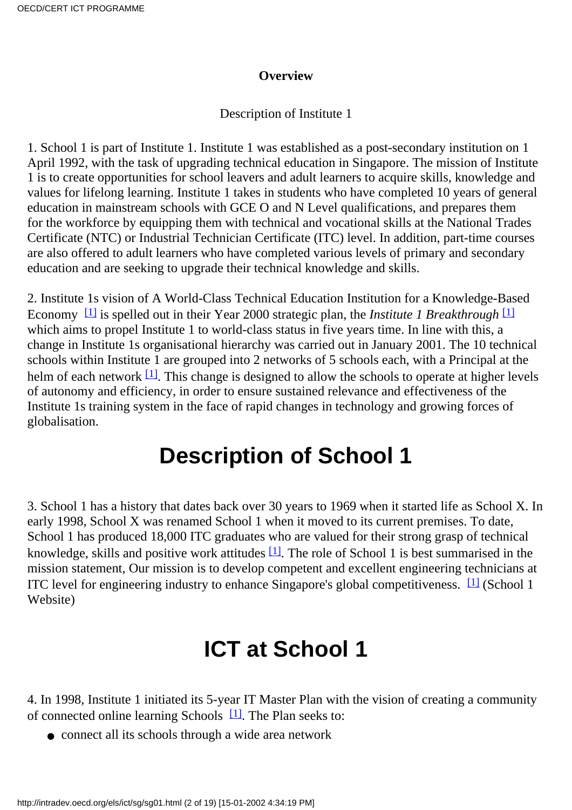### **Overview**

### Description of Institute 1

1. School 1 is part of Institute 1. Institute 1 was established as a post-secondary institution on 1 April 1992, with the task of upgrading technical education in Singapore. The mission of Institute 1 is to create opportunities for school leavers and adult learners to acquire skills, knowledge and values for lifelong learning. Institute 1 takes in students who have completed 10 years of general education in mainstream schools with GCE O and N Level qualifications, and prepares them for the workforce by equipping them with technical and vocational skills at the National Trades Certificate (NTC) or Industrial Technician Certificate (ITC) level. In addition, part-time courses are also offered to adult learners who have completed various levels of primary and secondary education and are seeking to upgrade their technical knowledge and skills.

<span id="page-1-1"></span><span id="page-1-0"></span>2. Institute 1s vision of A World-Class Technical Education Institution for a Knowledge-Based Economy  $\boxed{11}$  is spelled out in their Year 2000 strategic plan, the *Institute 1 Breakthrough*  $\boxed{11}$ which aims to propel Institute 1 to world-class status in five years time. In line with this, a change in Institute 1s organisational hierarchy was carried out in January 2001. The 10 technical schools within Institute 1 are grouped into 2 networks of 5 schools each, with a Principal at the helm of each network  $\boxed{11}$ . This change is designed to allow the schools to operate at higher levels of autonomy and efficiency, in order to ensure sustained relevance and effectiveness of the Institute 1s training system in the face of rapid changes in technology and growing forces of globalisation.

### **Description of School 1**

<span id="page-1-3"></span><span id="page-1-2"></span>3. School 1 has a history that dates back over 30 years to 1969 when it started life as School X. In early 1998, School X was renamed School 1 when it moved to its current premises. To date, School 1 has produced 18,000 ITC graduates who are valued for their strong grasp of technical knowledge, skills and positive work attitudes  $[1]$ . The role of School 1 is best summarised in the mission statement, Our mission is to develop competent and excellent engineering technicians at ITC level for engineering industry to enhance Singapore's global competitiveness.  $\boxed{11}$  (School 1) Website)

### **ICT at School 1**

<span id="page-1-4"></span>4. In 1998, Institute 1 initiated its 5-year IT Master Plan with the vision of creating a community of connected online learning Schools  $[1]$ . The Plan seeks to:

● connect all its schools through a wide area network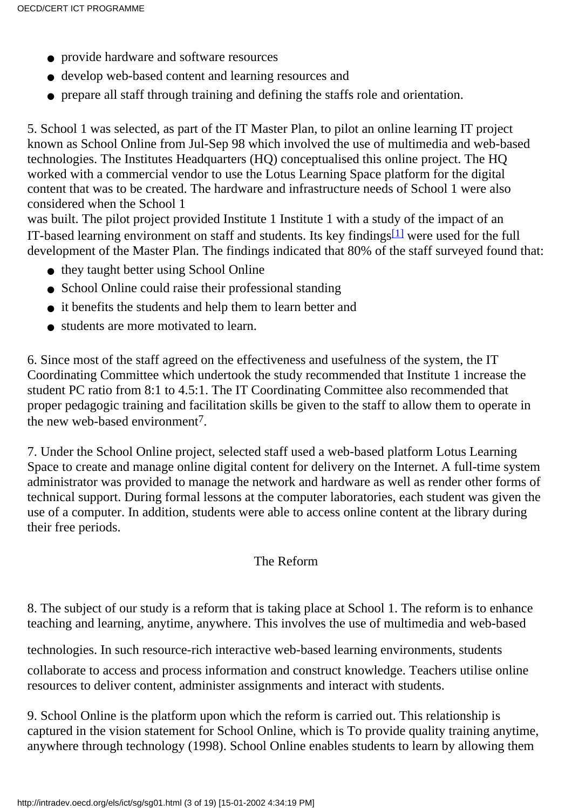- provide hardware and software resources
- develop web-based content and learning resources and
- prepare all staff through training and defining the staff s role and orientation.

5. School 1 was selected, as part of the IT Master Plan, to pilot an online learning IT project known as School Online from Jul-Sep 98 which involved the use of multimedia and web-based technologies. The Institute s Headquarters (HQ) conceptualised this online project. The HQ worked with a commercial vendor to use the Lotus Learning Space platform for the digital content that was to be created. The hardware and infrastructure needs of School 1 were also considered when the School 1

<span id="page-2-0"></span>was built. The pilot project provided Institute 1 Institute 1 with a study of the impact of an IT-based learning environment on staff and students. Its key finding[s\[1\]](#page-18-6) were used for the full development of the Master Plan. The findings indicated that 80% of the staff surveyed found that:

- they taught better using School Online
- School Online could raise their professional standing
- it benefits the students and help them to learn better and
- students are more motivated to learn.

6. Since most of the staff agreed on the effectiveness and usefulness of the system, the IT Coordinating Committee which undertook the study recommended that Institute 1 increase the student PC ratio from 8:1 to 4.5:1. The IT Coordinating Committee also recommended that proper pedagogic training and facilitation skills be given to the staff to allow them to operate in the new web-based environment7.

7. Under the School Online project, selected staff used a web-based platform Lotus Learning Space to create and manage online digital content for delivery on the Internet. A full-time system administrator was provided to manage the network and hardware as well as render other forms of technical support. During formal lessons at the computer laboratories, each student was given the use of a computer. In addition, students were able to access online content at the library during their free periods.

### The Reform

8. The subject of our study is a reform that is taking place at School 1. The reform is to enhance teaching and learning, anytime, anywhere. This involves the use of multimedia and web-based

technologies. In such resource-rich interactive web-based learning environments, students

collaborate to access and process information and construct knowledge. Teachers utilise online resources to deliver content, administer assignments and interact with students.

9. School Online is the platform upon which the reform is carried out. This relationship is captured in the vision statement for School Online, which is To provide quality training anytime, anywhere through technology (1998). School Online enables students to learn by allowing them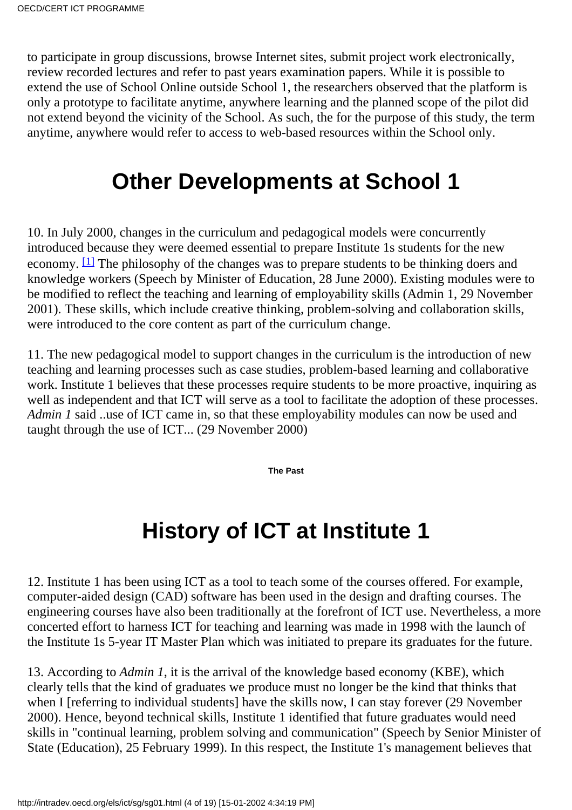to participate in group discussions, browse Internet sites, submit project work electronically, review recorded lectures and refer to past years examination papers. While it is possible to extend the use of School Online outside School 1, the researchers observed that the platform is only a prototype to facilitate anytime, anywhere learning and the planned scope of the pilot did not extend beyond the vicinity of the School. As such, the for the purpose of this study, the term anytime, anywhere would refer to access to web-based resources within the School only.

## **Other Developments at School 1**

<span id="page-3-0"></span>10. In July 2000, changes in the curriculum and pedagogical models were concurrently introduced because they were deemed essential to prepare Institute 1 s students for the new economy.  $[1]$  The philosophy of the changes was to prepare students to be thinking doers and knowledge workers (Speech by Minister of Education, 28 June 2000). Existing modules were to be modified to reflect the teaching and learning of employability skills (Admin 1, 29 November 2001). These skills, which include creative thinking, problem-solving and collaboration skills, were introduced to the core content as part of the curriculum change.

11. The new pedagogical model to support changes in the curriculum is the introduction of new teaching and learning processes such as case studies, problem-based learning and collaborative work. Institute 1 believes that these processes require students to be more proactive, inquiring as well as independent and that ICT will serve as a tool to facilitate the adoption of these processes. *Admin 1* said ..use of ICT came in, so that these employability modules can now be used and taught through the use of ICT... (29 November 2000)

**The Past**

## **History of ICT at Institute 1**

12. Institute 1 has been using ICT as a tool to teach some of the courses offered. For example, computer-aided design (CAD) software has been used in the design and drafting courses. The engineering courses have also been traditionally at the forefront of ICT use. Nevertheless, a more concerted effort to harness ICT for teaching and learning was made in 1998 with the launch of the Institute 1s 5-year IT Master Plan which was initiated to prepare its graduates for the future.

13. According to *Admin 1*, it is the arrival of the knowledge based economy (KBE), which clearly tells that the kind of graduates we produce must no longer be the kind that thinks that when I [referring to individual students] have the skills now, I can stay forever (29 November 2000). Hence, beyond technical skills, Institute 1 identified that future graduates would need skills in "continual learning, problem solving and communication" (Speech by Senior Minister of State (Education), 25 February 1999). In this respect, the Institute 1's management believes that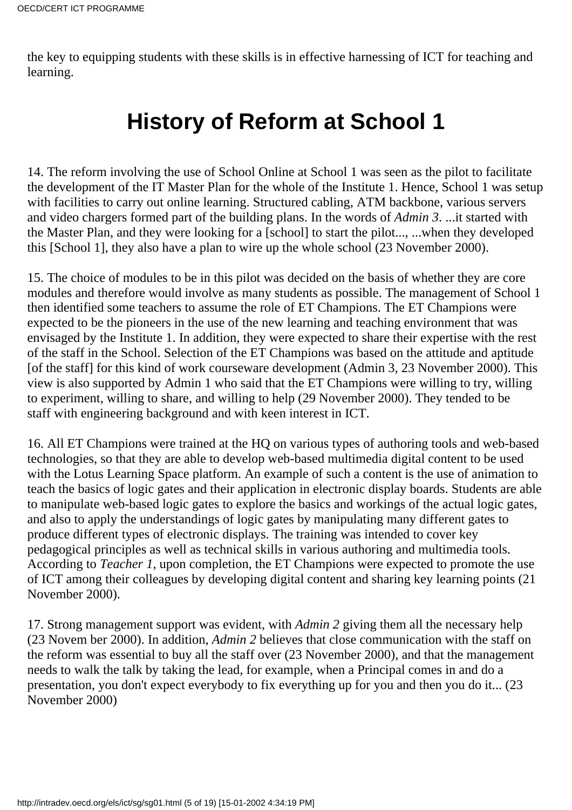the key to equipping students with these skills is in effective harnessing of ICT for teaching and learning.

### **History of Reform at School 1**

14. The reform involving the use of School Online at School 1 was seen as the pilot to facilitate the development of the IT Master Plan for the whole of the Institute 1. Hence, School 1 was setup with facilities to carry out online learning. Structured cabling, ATM backbone, various servers and video chargers formed part of the building plans. In the words of *Admin 3*. ...it started with the Master Plan, and they were looking for a [school] to start the pilot..., ...when they developed this [School 1], they also have a plan to wire up the whole school (23 November 2000).

15. The choice of modules to be in this pilot was decided on the basis of whether they are core modules and therefore would involve as many students as possible. The management of School 1 then identified some teachers to assume the role of ET Champions. The ET Champions were expected to be the pioneers in the use of the new learning and teaching environment that was envisaged by the Institute 1. In addition, they were expected to share their expertise with the rest of the staff in the School. Selection of the ET Champions was based on the attitude and aptitude [of the staff] for this kind of work courseware development (Admin 3, 23 November 2000). This view is also supported by Admin 1 who said that the ET Champions were willing to try, willing to experiment, willing to share, and willing to help (29 November 2000). They tended to be staff with engineering background and with keen interest in ICT.

16. All ET Champions were trained at the HQ on various types of authoring tools and web-based technologies, so that they are able to develop web-based multimedia digital content to be used with the Lotus Learning Space platform. An example of such a content is the use of animation to teach the basics of logic gates and their application in electronic display boards. Students are able to manipulate web-based logic gates to explore the basics and workings of the actual logic gates, and also to apply the understandings of logic gates by manipulating many different gates to produce different types of electronic displays. The training was intended to cover key pedagogical principles as well as technical skills in various authoring and multimedia tools. According to *Teacher 1*, upon completion, the ET Champions were expected to promote the use of ICT among their colleagues by developing digital content and sharing key learning points (21 November 2000).

17. Strong management support was evident, with *Admin 2* giving them all the necessary help (23 Novem ber 2000). In addition, *Admin 2* believes that close communication with the staff on the reform was essential to buy all the staff over (23 November 2000), and that the management needs to walk the talk by taking the lead, for example, when a Principal comes in and do a presentation, you don't expect everybody to fix everything up for you and then you do it... (23 November 2000)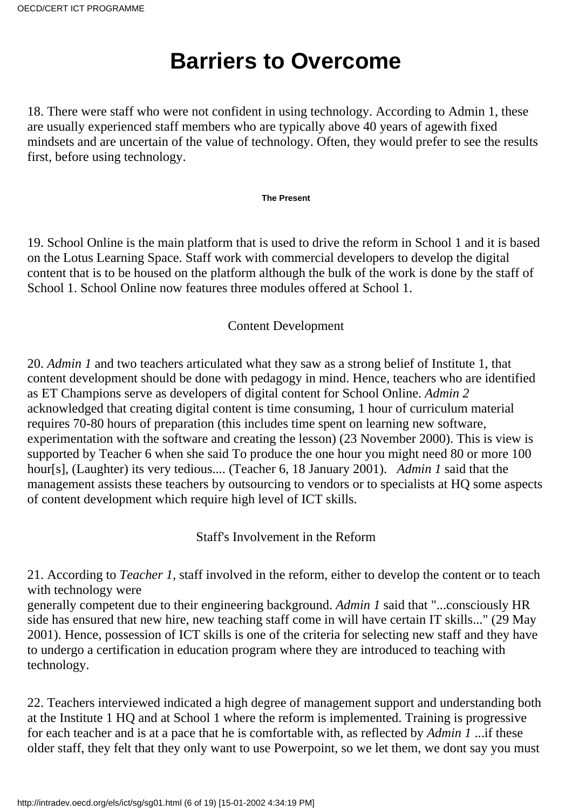### **Barriers to Overcome**

18. There were staff who were not confident in using technology. According to Admin 1, these are usually experienced staff members who are typically above 40 years of agewith fixed mindsets and are uncertain of the value of technology. Often, they would prefer to see the results first, before using technology.

#### **The Present**

19. School Online is the main platform that is used to drive the reform in School 1 and it is based on the Lotus Learning Space. Staff work with commercial developers to develop the digital content that is to be housed on the platform although the bulk of the work is done by the staff of School 1. School Online now features three modules offered at School 1.

#### Content Development

20. *Admin 1* and two teachers articulated what they saw as a strong belief of Institute 1, that content development should be done with pedagogy in mind. Hence, teachers who are identified as ET Champions serve as developers of digital content for School Online. *Admin 2* acknowledged that creating digital content is time consuming, 1 hour of curriculum material requires 70-80 hours of preparation (this includes time spent on learning new software, experimentation with the software and creating the lesson) (23 November 2000). This is view is supported by Teacher 6 when she said To produce the one hour you might need 80 or more 100 hour<sup>[s]</sup>, (Laughter) it s very tedious.... (Teacher 6, 18 January 2001). *Admin 1* said that the management assists these teachers by outsourcing to vendors or to specialists at HQ some aspects of content development which require high level of ICT skills.

Staff's Involvement in the Reform

21. According to *Teacher 1,* staff involved in the reform, either to develop the content or to teach with technology were

generally competent due to their engineering background. *Admin 1* said that "...consciously HR side has ensured that new hire, new teaching staff come in will have certain IT skills..." (29 May 2001). Hence, possession of ICT skills is one of the criteria for selecting new staff and they have to undergo a certification in education program where they are introduced to teaching with technology.

22. Teachers interviewed indicated a high degree of management support and understanding both at the Institute 1 HQ and at School 1 where the reform is implemented. Training is progressive for each teacher and is at a pace that he is comfortable with, as reflected by *Admin 1* ...if these older staff, they felt that they only want to use Powerpoint, so we let them, we dont say you must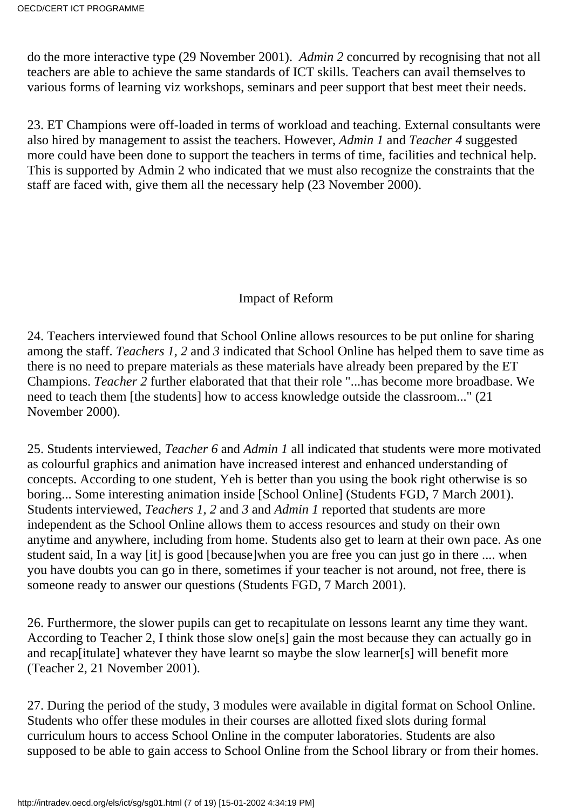do the more interactive type (29 November 2001). *Admin 2* concurred by recognising that not all teachers are able to achieve the same standards of ICT skills. Teachers can avail themselves to various forms of learning viz workshops, seminars and peer support that best meet their needs.

23. ET Champions were off-loaded in terms of workload and teaching. External consultants were also hired by management to assist the teachers. However, *Admin 1* and *Teacher 4* suggested more could have been done to support the teachers in terms of time, facilities and technical help. This is supported by Admin 2 who indicated that we must also recognize the constraints that the staff are faced with, give them all the necessary help (23 November 2000).

### Impact of Reform

24. Teachers interviewed found that School Online allows resources to be put online for sharing among the staff. *Teachers 1, 2* and *3* indicated that School Online has helped them to save time as there is no need to prepare materials as these materials have already been prepared by the ET Champions. *Teacher 2* further elaborated that that their role "...has become more broadbase. We need to teach them [the students] how to access knowledge outside the classroom..." (21 November 2000).

25. Students interviewed, *Teacher 6* and *Admin 1* all indicated that students were more motivated as colourful graphics and animation have increased interest and enhanced understanding of concepts. According to one student, Yeh is better than you using the book right otherwise is so boring... Some interesting animation inside [School Online] (Students FGD, 7 March 2001). Students interviewed, *Teachers 1, 2* and *3* and *Admin 1* reported that students are more independent as the School Online allows them to access resources and study on their own anytime and anywhere, including from home. Students also get to learn at their own pace. As one student said, In a way [it] is good [because]when you are free you can just go in there .... when you have doubts you can go in there, sometimes if your teacher is not around, not free, there is someone ready to answer our questions (Students FGD, 7 March 2001).

26. Furthermore, the slower pupils can get to recapitulate on lessons learnt any time they want. According to Teacher 2. I think those slow one s is gain the most because they can actually go in and recap[itulate] whatever they have learnt so maybe the slow learner[s] will benefit more (Teacher 2, 21 November 2001).

27. During the period of the study, 3 modules were available in digital format on School Online. Students who offer these modules in their courses are allotted fixed slots during formal curriculum hours to access School Online in the computer laboratories. Students are also supposed to be able to gain access to School Online from the School library or from their homes.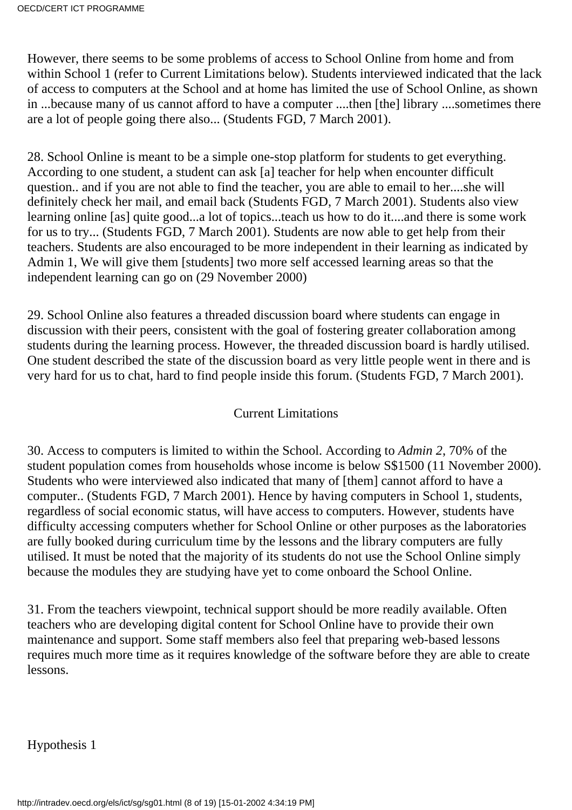However, there seems to be some problems of access to School Online from home and from within School 1 (refer to Current Limitations below). Students interviewed indicated that the lack of access to computers at the School and at home has limited the use of School Online, as shown in ...because many of us cannot afford to have a computer ....then [the] library ....sometimes there are a lot of people going there also... (Students FGD, 7 March 2001).

28. School Online is meant to be a simple one-stop platform for students to get everything. According to one student, a student can ask [a] teacher for help when encounter difficult question.. and if you are not able to find the teacher, you are able to email to her....she will definitely check her mail, and email back (Students FGD, 7 March 2001). Students also view learning online [as] quite good...a lot of topics...teach us how to do it....and there is some work for us to try... (Students FGD, 7 March 2001). Students are now able to get help from their teachers. Students are also encouraged to be more independent in their learning as indicated by Admin 1, We will give them [students] two more self accessed learning areas so that the independent learning can go on (29 November 2000)

29. School Online also features a threaded discussion board where students can engage in discussion with their peers, consistent with the goal of fostering greater collaboration among students during the learning process. However, the threaded discussion board is hardly utilised. One student described the state of the discussion board as very little people went in there and is very hard for us to chat, hard to find people inside this forum. (Students FGD, 7 March 2001).

### Current Limitations

30. Access to computers is limited to within the School. According to *Admin 2*, 70% of the student population comes from households whose income is below S\$1500 (11 November 2000). Students who were interviewed also indicated that many of [them] cannot afford to have a computer.. (Students FGD, 7 March 2001). Hence by having computers in School 1, students, regardless of social economic status, will have access to computers. However, students have difficulty accessing computers whether for School Online or other purposes as the laboratories are fully booked during curriculum time by the lessons and the library computers are fully utilised. It must be noted that the majority of its students do not use the School Online simply because the modules they are studying have yet to come onboard the School Online.

31. From the teachers viewpoint, technical support should be more readily available. Often teachers who are developing digital content for School Online have to provide their own maintenance and support. Some staff members also feel that preparing web-based lessons requires much more time as it requires knowledge of the software before they are able to create lessons.

Hypothesis 1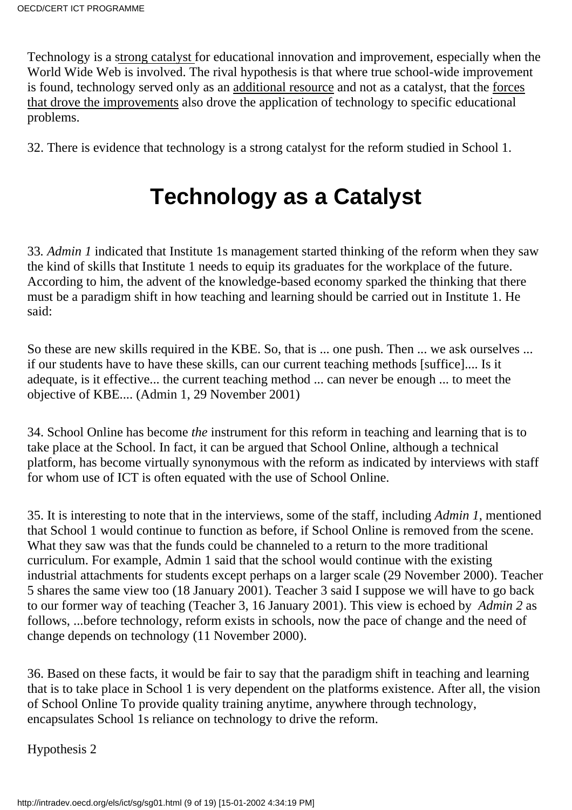Technology is a strong catalyst for educational innovation and improvement, especially when the World Wide Web is involved. The rival hypothesis is that where true school-wide improvement is found, technology served only as an additional resource and not as a catalyst, that the forces that drove the improvements also drove the application of technology to specific educational problems.

32. There is evidence that technology is a strong catalyst for the reform studied in School 1.

### **Technology as a Catalyst**

33*. Admin 1* indicated that Institute 1s management started thinking of the reform when they saw the kind of skills that Institute 1 needs to equip its graduates for the workplace of the future. According to him, the advent of the knowledge-based economy sparked the thinking that there must be a paradigm shift in how teaching and learning should be carried out in Institute 1. He said:

So these are new skills required in the KBE. So, that is ... one push. Then ... we ask ourselves ... if our students have to have these skills, can our current teaching methods [suffice].... Is it adequate, is it effective... the current teaching method ... can never be enough ... to meet the objective of KBE.... (Admin 1, 29 November 2001)

34. School Online has become *the* instrument for this reform in teaching and learning that is to take place at the School. In fact, it can be argued that School Online, although a technical platform, has become virtually synonymous with the reform as indicated by interviews with staff for whom use of ICT is often equated with the use of School Online.

35. It is interesting to note that in the interviews, some of the staff, including *Admin 1*, mentioned that School 1 would continue to function as before, if School Online is removed from the scene. What they saw was that the funds could be channeled to a return to the more traditional curriculum. For example, Admin 1 said that the school would continue with the existing industrial attachments for students except perhaps on a larger scale (29 November 2000). Teacher 5 shares the same view too (18 January 2001). Teacher 3 said I suppose we will have to go back to our former way of teaching (Teacher 3, 16 January 2001). This view is echoed by *Admin 2* as follows, ...before technology, reform exists in schools, now the pace of change and the need of change depends on technology (11 November 2000).

36. Based on these facts, it would be fair to say that the paradigm shift in teaching and learning that is to take place in School 1 is very dependent on the platforms existence. After all, the vision of School Online To provide quality training anytime, anywhere through technology, encapsulates School 1s reliance on technology to drive the reform.

Hypothesis 2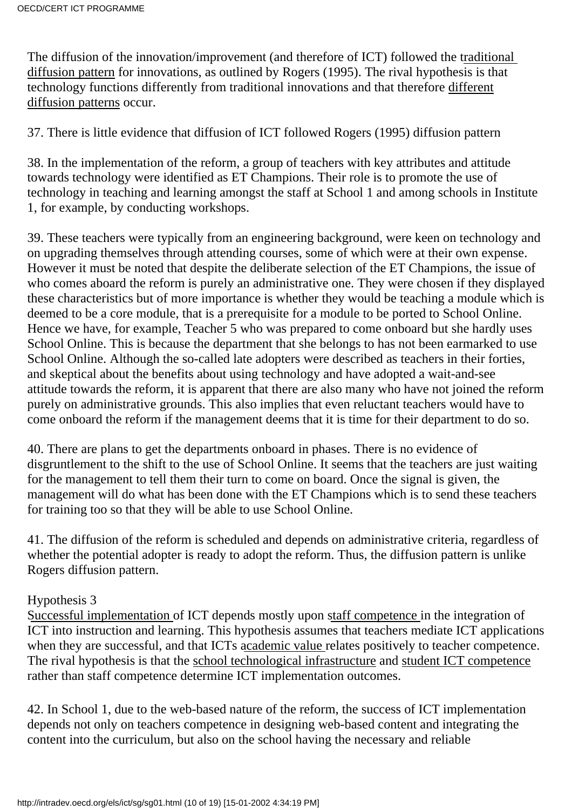The diffusion of the innovation/improvement (and therefore of ICT) followed the traditional diffusion pattern for innovations, as outlined by Rogers (1995). The rival hypothesis is that technology functions differently from traditional innovations and that therefore different diffusion patterns occur.

37. There is little evidence that diffusion of ICT followed Rogers (1995) diffusion pattern

38. In the implementation of the reform, a group of teachers with key attributes and attitude towards technology were identified as ET Champions. Their role is to promote the use of technology in teaching and learning amongst the staff at School 1 and among schools in Institute 1, for example, by conducting workshops.

39. These teachers were typically from an engineering background, were keen on technology and on upgrading themselves through attending courses, some of which were at their own expense. However it must be noted that despite the deliberate selection of the ET Champions, the issue of who comes aboard the reform is purely an administrative one. They were chosen if they displayed these characteristics but of more importance is whether they would be teaching a module which is deemed to be a core module, that is a prerequisite for a module to be ported to School Online. Hence we have, for example, Teacher 5 who was prepared to come onboard but she hardly uses School Online. This is because the department that she belongs to has not been earmarked to use School Online. Although the so-called late adopters were described as teachers in their forties, and skeptical about the benefits about using technology and have adopted a wait-and-see attitude towards the reform, it is apparent that there are also many who have not joined the reform purely on administrative grounds. This also implies that even reluctant teachers would have to come onboard the reform if the management deems that it is time for their department to do so.

40. There are plans to get the departments onboard in phases. There is no evidence of disgruntlement to the shift to the use of School Online. It seems that the teachers are just waiting for the management to tell them their turn to come on board. Once the signal is given, the management will do what has been done with the ET Champions which is to send these teachers for training too so that they will be able to use School Online.

41. The diffusion of the reform is scheduled and depends on administrative criteria, regardless of whether the potential adopter is ready to adopt the reform. Thus, the diffusion pattern is unlike Roger s diffusion pattern.

### Hypothesis 3

Successful implementation of ICT depends mostly upon staff competence in the integration of ICT into instruction and learning. This hypothesis assumes that teachers mediate ICT applications when they are successful, and that ICT s academic value relates positively to teacher competence. The rival hypothesis is that the school technological infrastructure and student ICT competence rather than staff competence determine ICT implementation outcomes.

42. In School 1, due to the web-based nature of the reform, the success of ICT implementation depends not only on teachers competence in designing web-based content and integrating the content into the curriculum, but also on the school having the necessary and reliable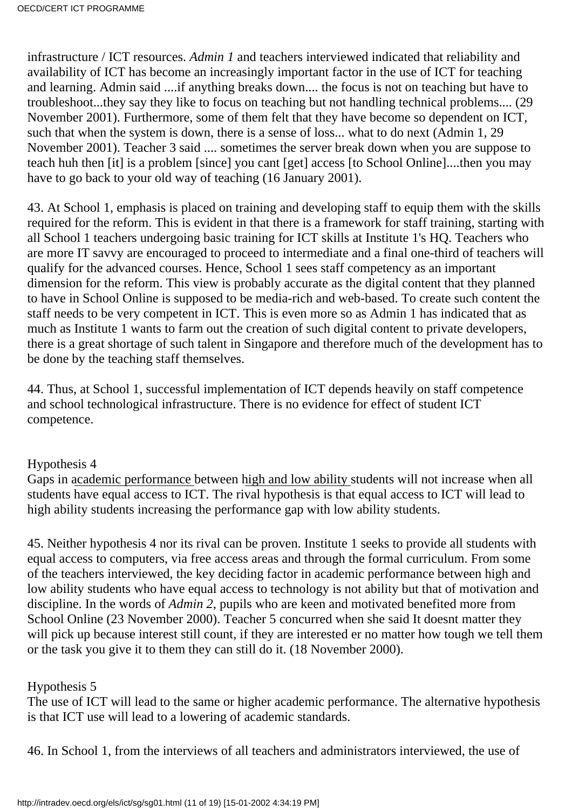infrastructure / ICT resources. *Admin 1* and teachers interviewed indicated that reliability and availability of ICT has become an increasingly important factor in the use of ICT for teaching and learning. Admin said ....if anything breaks down.... the focus is not on teaching but have to troubleshoot...they say they like to focus on teaching but not handling technical problems.... (29 November 2001). Furthermore, some of them felt that they have become so dependent on ICT, such that when the system is down, there is a sense of loss... what to do next (Admin 1, 29 November 2001). Teacher 3 said .... sometimes the server break down when you are suppose to teach huh then [it] is a problem [since] you cant [get] access [to School Online]....then you may have to go back to your old way of teaching (16 January 2001).

43. At School 1, emphasis is placed on training and developing staff to equip them with the skills required for the reform. This is evident in that there is a framework for staff training, starting with all School 1 teachers undergoing basic training for ICT skills at Institute 1's HQ. Teachers who are more IT savvy are encouraged to proceed to intermediate and a final one-third of teachers will qualify for the advanced courses. Hence, School 1 sees staff competency as an important dimension for the reform. This view is probably accurate as the digital content that they planned to have in School Online is supposed to be media-rich and web-based. To create such content the staff needs to be very competent in ICT. This is even more so as Admin 1 has indicated that as much as Institute 1 wants to farm out the creation of such digital content to private developers, there is a great shortage of such talent in Singapore and therefore much of the development has to be done by the teaching staff themselves.

44. Thus, at School 1, successful implementation of ICT depends heavily on staff competence and school technological infrastructure. There is no evidence for effect of student ICT competence.

### Hypothesis 4

Gaps in academic performance between high and low ability students will not increase when all students have equal access to ICT. The rival hypothesis is that equal access to ICT will lead to high ability students increasing the performance gap with low ability students.

45. Neither hypothesis 4 nor its rival can be proven. Institute 1 seeks to provide all students with equal access to computers, via free access areas and through the formal curriculum. From some of the teachers interviewed, the key deciding factor in academic performance between high and low ability students who have equal access to technology is not ability but that of motivation and discipline. In the words of *Admin 2*, pupils who are keen and motivated benefited more from School Online (23 November 2000). Teacher 5 concurred when she said It doesnt matter they will pick up because interest still count, if they are interested er no matter how tough we tell them or the task you give it to them they can still do it. (18 November 2000).

### Hypothesis 5

The use of ICT will lead to the same or higher academic performance. The alternative hypothesis is that ICT use will lead to a lowering of academic standards.

46. In School 1, from the interviews of all teachers and administrators interviewed, the use of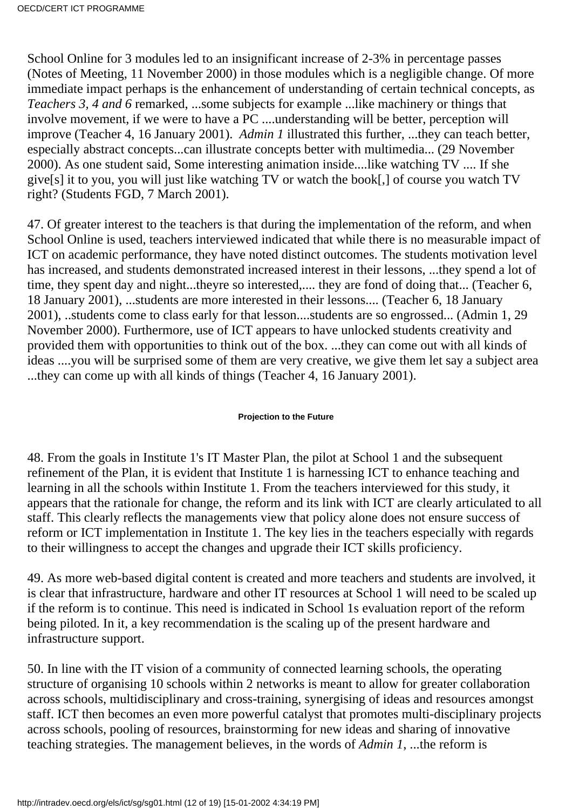School Online for 3 modules led to an insignificant increase of 2-3% in percentage passes (Notes of Meeting, 11 November 2000) in those modules which is a negligible change. Of more immediate impact perhaps is the enhancement of understanding of certain technical concepts, as *Teachers 3, 4 and 6* remarked, ...some subjects for example ...like machinery or things that involve movement, if we were to have a PC ....understanding will be better, perception will improve (Teacher 4, 16 January 2001). *Admin 1* illustrated this further, ...they can teach better, especially abstract concepts...can illustrate concepts better with multimedia... (29 November 2000). As one student said, Some interesting animation inside....like watching TV .... If she give[s] it to you, you will just like watching TV or watch the book[,] of course you watch TV right? (Students FGD, 7 March 2001).

47. Of greater interest to the teachers is that during the implementation of the reform, and when School Online is used, teachers interviewed indicated that while there is no measurable impact of ICT on academic performance, they have noted distinct outcomes. The student s motivation level has increased, and students demonstrated increased interest in their lessons, ...they spend a lot of time, they spent day and night...they re so interested,.... they are fond of doing that... (Teacher 6, 18 January 2001), ...students are more interested in their lessons.... (Teacher 6, 18 January 2001), ..students come to class early for that lesson....students are so engrossed... (Admin 1, 29 November 2000). Furthermore, use of ICT appears to have unlocked students creativity and provided them with opportunities to think out of the box. ...they can come out with all kinds of ideas ....you will be surprised some of them are very creative, we give them let say a subject area ...they can come up with all kinds of things (Teacher 4, 16 January 2001).

#### **Projection to the Future**

48. From the goals in Institute 1's IT Master Plan, the pilot at School 1 and the subsequent refinement of the Plan, it is evident that Institute 1 is harnessing ICT to enhance teaching and learning in all the schools within Institute 1. From the teachers interviewed for this study, it appears that the rationale for change, the reform and its link with ICT are clearly articulated to all staff. This clearly reflects the management s view that policy alone does not ensure success of reform or ICT implementation in Institute 1. The key lies in the teachers especially with regards to their willingness to accept the changes and upgrade their ICT skills proficiency.

49. As more web-based digital content is created and more teachers and students are involved, it is clear that infrastructure, hardware and other IT resources at School 1 will need to be scaled up if the reform is to continue. This need is indicated in School 1s evaluation report of the reform being piloted. In it, a key recommendation is the scaling up of the present hardware and infrastructure support.

50. In line with the IT vision of a community of connected learning schools, the operating structure of organising 10 schools within 2 networks is meant to allow for greater collaboration across schools, multidisciplinary and cross-training, synergising of ideas and resources amongst staff. ICT then becomes an even more powerful catalyst that promotes multi-disciplinary projects across schools, pooling of resources, brainstorming for new ideas and sharing of innovative teaching strategies. The management believes, in the words of *Admin 1*, ...the reform is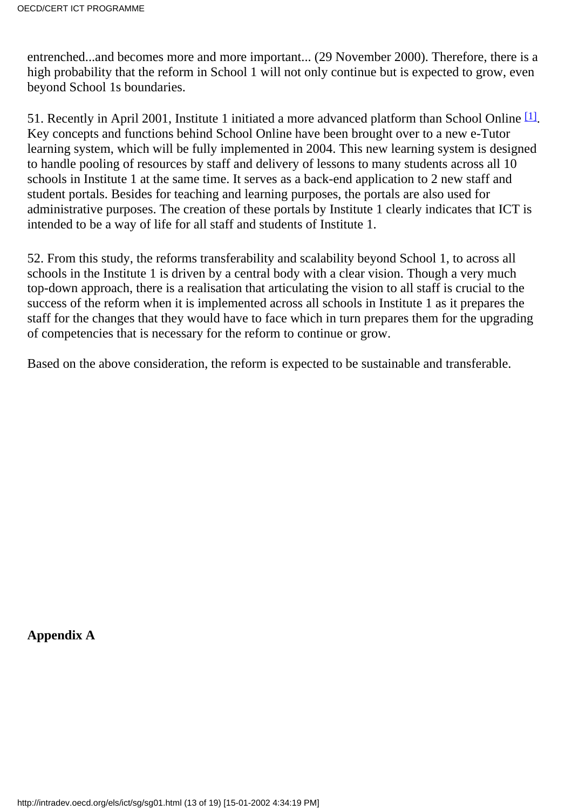entrenched...and becomes more and more important... (29 November 2000). Therefore, there is a high probability that the reform in School 1 will not only continue but is expected to grow, even beyond School 1 s boundaries.

<span id="page-12-0"></span>51. Recently in April 2001, Institute 1 initiated a more advanced platform than School Online <sup>[\[1\]](#page-18-8)</sup>. Key concepts and functions behind School Online have been brought over to a new e-Tutor learning system, which will be fully implemented in 2004. This new learning system is designed to handle pooling of resources by staff and delivery of lessons to many students across all 10 schools in Institute 1 at the same time. It serves as a back-end application to 2 new staff and student portals. Besides for teaching and learning purposes, the portals are also used for administrative purposes. The creation of these portals by Institute 1 clearly indicates that ICT is intended to be a way of life for all staff and students of Institute 1.

52. From this study, the reform s transferability and scalability beyond School 1, to across all schools in the Institute 1 is driven by a central body with a clear vision. Though a very much top-down approach, there is a realisation that articulating the vision to all staff is crucial to the success of the reform when it is implemented across all schools in Institute 1 as it prepares the staff for the changes that they would have to face which in turn prepares them for the upgrading of competencies that is necessary for the reform to continue or grow.

Based on the above consideration, the reform is expected to be sustainable and transferable.

**Appendix A**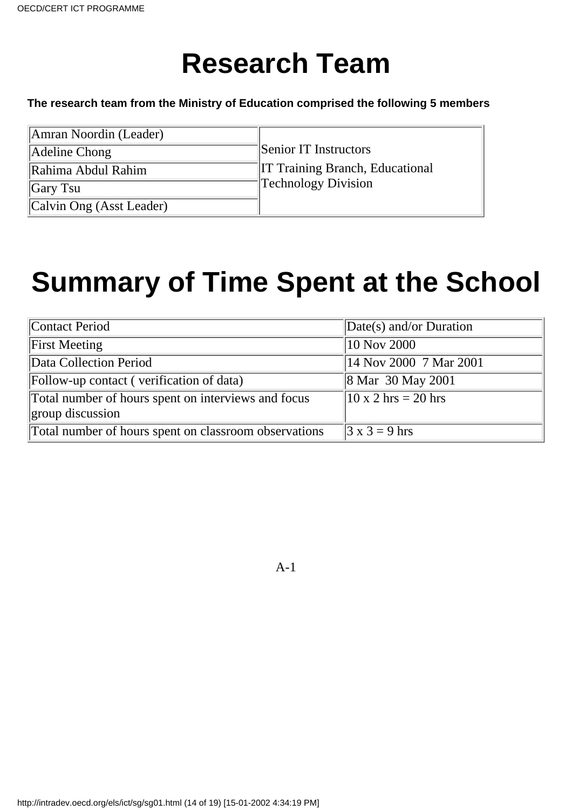## **Research Team**

**The research team from the Ministry of Education comprised the following 5 members**

| Amran Noordin (Leader)   |                                     |
|--------------------------|-------------------------------------|
| Adeline Chong            | Senior IT Instructors               |
| Rahima Abdul Rahim       | <b>Training Branch, Educational</b> |
| $\vert$ Gary Tsu         | Technology Division                 |
| Calvin Ong (Asst Leader) |                                     |

# **Summary of Time Spent at the School**

| Contact Period                                        | $\Delta$ Date(s) and/or Duration         |
|-------------------------------------------------------|------------------------------------------|
| <b>First Meeting</b>                                  | $\parallel$ 10 Nov 2000                  |
| Data Collection Period                                | $\parallel$ 14 Nov 2000 7 Mar 2001       |
| Follow-up contact (verification of data)              | $\ 8 \text{ Mar} \t30 \text{ May } 2001$ |
| Total number of hours spent on interviews and focus   | $10 \times 2$ hrs = 20 hrs               |
| group discussion                                      |                                          |
| Total number of hours spent on classroom observations | $\ 3 \times 3 = 9$ hrs                   |

A-1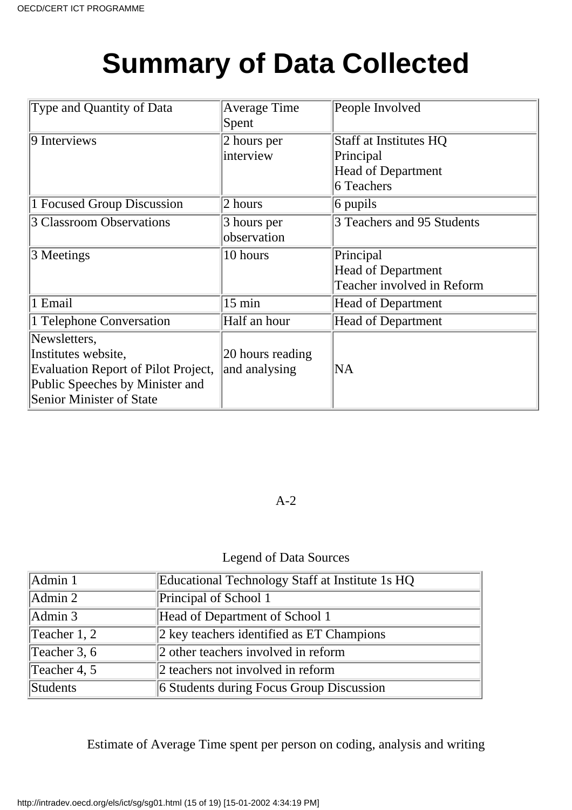# **Summary of Data Collected**

| Type and Quantity of Data                                                                                                                         | <b>Average Time</b><br>Spent      | People Involved                                                                 |
|---------------------------------------------------------------------------------------------------------------------------------------------------|-----------------------------------|---------------------------------------------------------------------------------|
| 9 Interviews                                                                                                                                      | 2 hours per<br>interview          | Staff at Institute s HQ<br>Principal<br><b>Head of Department</b><br>6 Teachers |
| 1 Focused Group Discussion                                                                                                                        | 2 hours                           | $6$ pupils                                                                      |
| 3 Classroom Observations                                                                                                                          | 3 hours per<br>observation        | 3 Teachers and 95 Students                                                      |
| 3 Meetings                                                                                                                                        | 10 hours                          | Principal<br><b>Head of Department</b><br>Teacher involved in Reform            |
| $\overline{1}$ Email                                                                                                                              | $15 \text{ min}$                  | <b>Head of Department</b>                                                       |
| 1 Telephone Conversation                                                                                                                          | Half an hour                      | <b>Head of Department</b>                                                       |
| Newsletters,<br>Institute s website,<br><b>Evaluation Report of Pilot Project,</b><br>Public Speeches by Minister and<br>Senior Minister of State | 20 hours reading<br>and analysing | NA                                                                              |

### A-2

### Legend of Data Sources

| Admin 1        | Educational Technology Staff at Institute 1 s HQ    |
|----------------|-----------------------------------------------------|
| Admin 2        | Principal of School 1                               |
| Admin 3        | Head of Department of School 1                      |
| Teacher $1, 2$ | $ 2 \text{ key teachers identified as ET Chambers}$ |
| Teacher $3, 6$ | 2 other teachers involved in reform                 |
| Teacher 4, $5$ | 2 teachers not involved in reform                   |
| Students       | 6 Students during Focus Group Discussion            |

Estimate of Average Time spent per person on coding, analysis and writing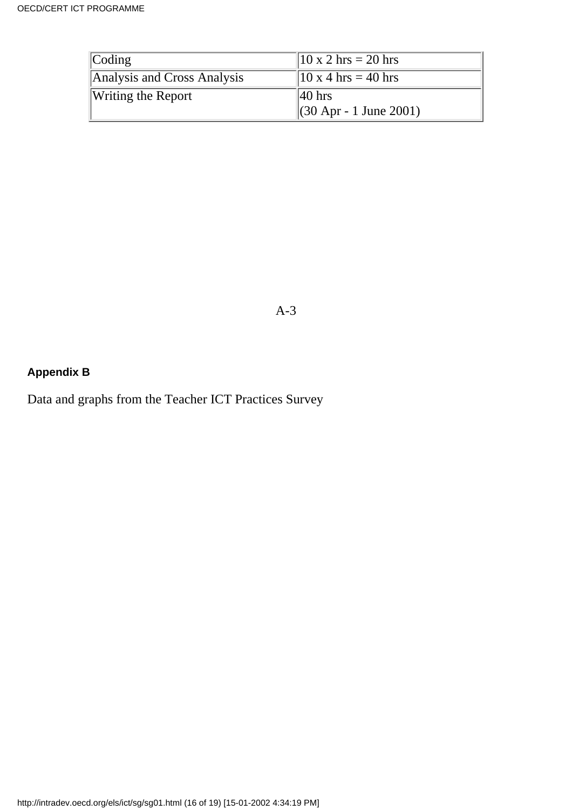| $ $ Coding                  | $10 \times 2$ hrs = 20 hrs                               |
|-----------------------------|----------------------------------------------------------|
| Analysis and Cross Analysis | $10 \times 4$ hrs = 40 hrs                               |
| <b>Writing the Report</b>   | $ 40 \text{ hrs} $                                       |
|                             | $\left  (30 \text{ Apr} - 1 \text{ June } 2001) \right $ |

A-3

### **Appendix B**

Data and graphs from the Teacher ICT Practices Survey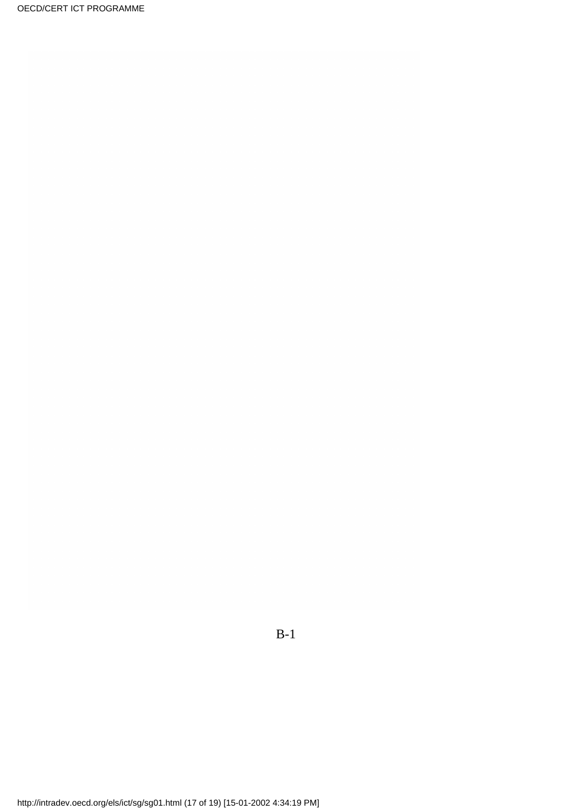OECD/CERT ICT PROGRAMME

B-1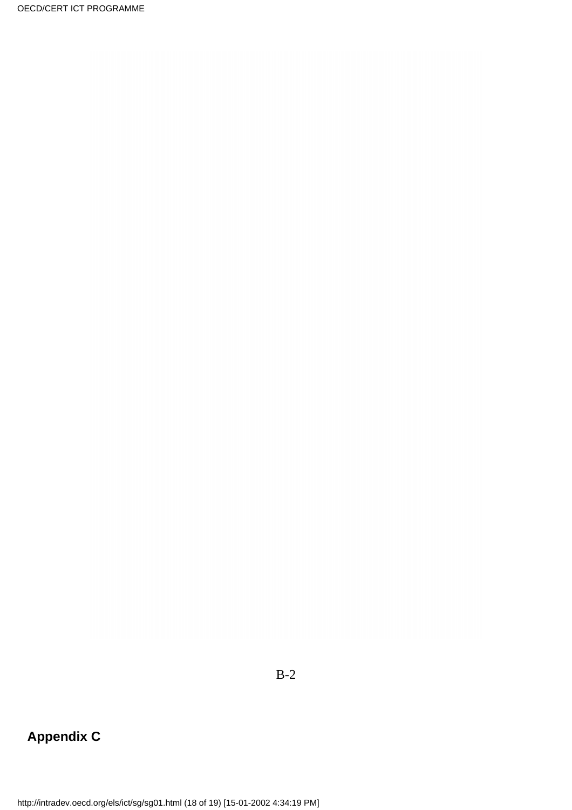OECD/CERT ICT PROGRAMME

B-2

### **Appendix C**